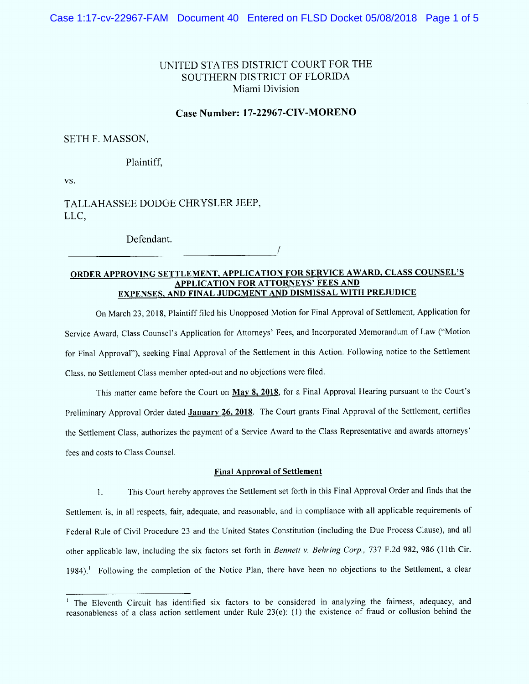# UNITED STATES DISTRICT COURT FOR THE SOUTHERN DISTRICT OF FLORIDA Miami Division

### Case Number: 17-22967-CIV-MORENO

## SETH F. MASSON,

### Plaintiff,

VS.

TALLAHASSEE DODGE CHRYSLER JEEP, LLC,

Defendant.

## ORDER APPROVING SETTLEMENT, APPLICATION FOR SERVICE AWARD, CLASS COUNSEL'S APPLICATION FOR ATTORNEYS' FEES AND EXPENSES, AND FINAL JUDGMENT AND DISMISSAL WITH PREJUDICE

On March 23, 2018, Plaintiff filed his Unopposed Motion for Final Approval of Settlement, Application for Service Award, Class Counsel's Application for Attorneys' Fees, and Incorporated Memorandum of Law ("Motion for Final Approval''), seeking Final Approval of the Settlement in this Action. Following notice to the Settlement Class, no Settlement Class member opted-out and no objections were filed.

This matter came before the Court on May 8, 2018, for a Final Approval Hearing pursuant to the Court's Preliminary Approval Order dated January 26, 2018. The Court grants Final Approval of the Settlement, certifies the Settlement Class, authorizes the payment of a Service Award to the Class Representative and awards attorneys' fees and costs to Class Counsel.

#### Final Approval of Settlement

This Court hereby approves the Setllement set forth in this Final Approval Order and finds that the  $\mathbf{1}$ . Settlement is, in al1 respects, fair, adequate, and reasonable, and in compliance with a1l applicable requirements of Federal Rule of Civil Procedure 23 and the United States Constitution (including the Due Process Clause), and all other applicable law, including the six factors set forth in Bennett v. Behring Corp., 737 F.2d 982, 986 (11th Cir. 1984).<sup>1</sup> Following the completion of the Notice Plan, there have been no objections to the Settlement, a clear

<sup>&</sup>lt;sup>1</sup> The Eleventh Circuit has identified six factors to be considered in analyzing the fairness, adequacy, and reasonableness of a class action settlement under Rule 23(e): (1) the existence of fraud or collusion behind the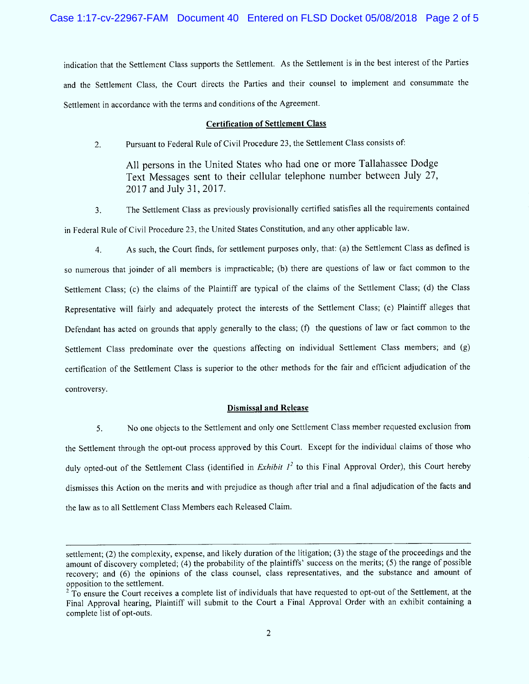indication that the Settlement Class supports the Settlement. As the Settlement is in the best interest of the Parties and the Settlement Class, the Court directs the Parties and their counsel to implement and consummate the Settlement in accordance with the terms and conditions of the Agreement.

#### Certification of Settlement Class

Pursuant to Federal Rule of Civil Procedure 23, the Settlement Class consists of:  $2.$ 

All persons in the United States who had one or more Tallahassee Dodge Text Messages sent to their cellular telephone number between July 27, 2017 and July 31, 2017.

The Settlement Class as previously provisionally certified satisfies a1l the requirements contained 3. in Federal Rule of Civil Procedure 23, the United States Constitution, and any other applicable law.

As such, the Court finds, for settlement purposes only, that: (a) the Settlement Class as defined is  $4.$ so numerous that joinder of all members is impracticable; (b) there are questions of law or fact common to the Settlement Class; (c) the claims of the Plaintiff are typical of the claims of the Settlement Class; (d) the Class Representative will fairly and adequately protect the interests of the Settlement Class; (e) Plaintiff alleges that Defendant has acted on grounds that apply generally to the class; (f) the questions of law or fact common to the Settlement Class predominate over the questions affecting on individual Settlement Class members; and (g) certification of the Settlement Class is superior to the other methods for thc fair and efficicnt adjudication of the controversy.

#### Dismissal and Release

5. No one objects to the Settlement and only one Settlement Class member requested exclusion from the Settlement through the opt-out process approved by this Court. Except for the individual claims of those who duly opted-out of the Settlement Class (identified in Exhibit  $l^2$  to this Final Approval Order), this Court hereby dismisses this Action on the merits and with prejudice as though after trial and a final adjudication of the facts and the law as to all Settlement Class Members each Released Claim.

settlement; (2) the complexity, expense, and likely duration of the litigation; (3) the stage of the proceedings and the amount of discovery completed; (4) the probability of the plaintiffs' success on the merits; (5) the range of possible recovery; and (6) the opinions of the class counsel, class representatives, and the substance and amount of opposition to the settlement.

<sup>&</sup>lt;sup>2</sup> To ensure the Court receives a complete list of individuals that have requested to opt-out of the Settlement, at the Final Approval hearing, Plaintiff will submit to the Court a Final Approval Order with an exhibit containing a complete list of opt-outs.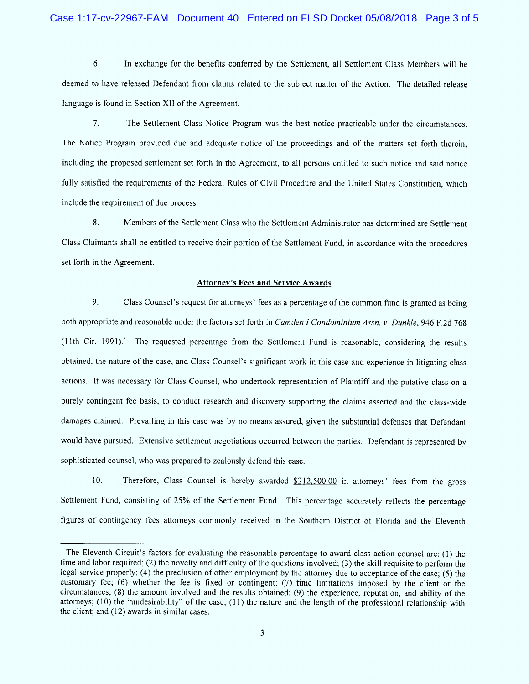### Case 1:17-cv-22967-FAM Document 40 Entered on FLSD Docket 05/08/2018 Page 3 of 5

6. In exchange for the benefits conferred by the Settlement, all Settlement Class Members will be deemed to have released Defendant from claims related to the subject matter of the Action. The detailed release language is found in Section Xll of the Agreement.

 $7<sub>1</sub>$ The Settlement Class Notice Program was the best notice practicable under the circumstances. The Notice Program provided due and adequate notice of the proceedings and of the matters set forth therein, including the proposed settlement set forth in the Agreement, to all persons entitled to such notice and said notice fully satisfied the requirements of the Federal Rules of Civil Procedure and the United States Constitution, which include the requirement of due process.

8. M embers of the Settlement Class who the Settlement Administrator has determined are Settlement Class Claimants shall be entitled to receive their portion of the Settlement Fund, in accordance with the procedures set forth in the Agreement.

#### Attorney's Fees and Service Awards

9. Class Counsel's request for attorneys' fees as a percentage of the common fund is granted as being both appropriate and reasonable under the factors set forth in Camden I Condominium Assn. v. Dunkle, 946 F.2d 768  $(11th$  Cir. 1991).<sup>3</sup> The requested percentage from the Settlement Fund is reasonable, considering the results obtained, the nature of the case, and Class Counsel's significant work in this case and experience in litigating class actions. It was necessary for Class Counsel, who undertook representation of Plaintiff and the putative class on a purely contingent fee basis, to conduct research and discovery supporting the claims asserted and the class-wide damages claimed. Prevailing in this case was by no means assured, given the substantial defenses that Defendant would have pursued. Extensive settlement negotiations occurred between the parties. Defendant is represented by sophisticated counsel, who was prepared to zealously defend this case.

 $10.$ Therefore, Class Counsel is hereby awarded  $$212,500.00$  in attorneys' fees from the gross Settlement Fund, consisting of 25% of the Settlement Fund. This percentage accurately retlects the percentage figures of contingency fees attorneys commonly received in the Southern District of Florida and the Eleventh

<sup>&</sup>lt;sup>3</sup> The Eleventh Circuit's factors for evaluating the reasonable percentage to award class-action counsel are: (1) the time and labor required; (2) the novelty and difficulty of the questions involved; (3) the skill requisite to perform the legal service properly; (4) the preclusion of other employment by the attorney due to acceptance of the case; (5) the customary fee; (6) whether the fee is fixed or contingent; (7) time limitations imposed by the client or the circumstances; (8) the amount involved and the results obtained', (9) the experience, reputation, and ability of the attorneys; (10) the "undesirability" of the case; (11) the nature and the length of the professional relationship with the client; and (12) awards in similar cases.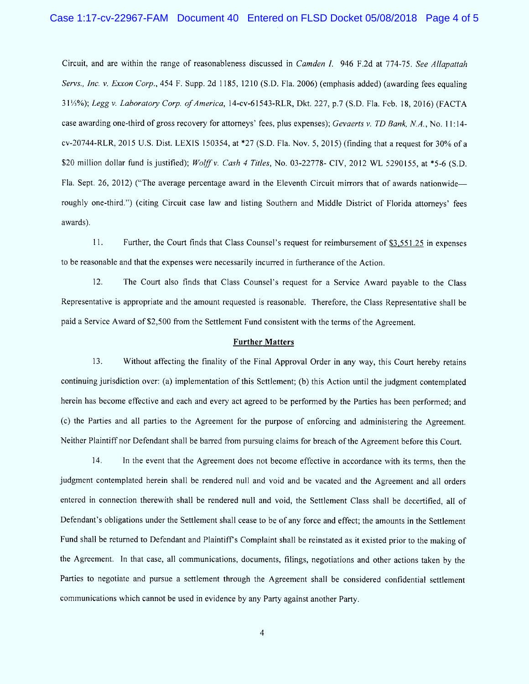## Case 1:17-cv-22967-FAM Document 40 Entered on FLSD Docket 05/08/2018 Page 4 of 5

Circuit, and are within the range of reasonableness discussed in Camden 1. 946 F.2d at 774-75. See Allapattah Servs., Inc. v. Exxon Corp., 454 F. Supp. 2d 1185, 1210 (S.D. Fla. 2006) (emphasis added) (awarding fees equaling 31/3%); Legg v. Laboratory Corp. of America, 14-cv-61543-RLR, Dkt. 227, p.7 (S.D. Fla. Feb. 18, 2016) (FACTA case awarding one-third of gross recovery for attorneys' fees, plus expenses); Gevaerts v. TD Bank, N.A., No. 11:14cv-20744-RLR, 2015 U.S. Dist. LEXIS 150354, at \*27 (S.D. Fla. Nov. 5, 2015) (finding that a request for 30% of a \$20 million dollar fund is justified); Wolff v. Cash 4 Titles, No. 03-22778- CIV, 2012 WL 5290155, at \*5-6 (S.D. Fla. Sept. 26, 2012) ("The average percentage award in the Eleventh Circuit mirrors that of awards nationwide roughly one-third.") (citing Circuit case law and listing Southern and Middle District of Florida attorneys' fees awards).

11. Further, the Court finds that Class Counsel's request for reimbursement of  $\frac{1}{3}, 551.25$  in expenses to be reasonable and that the expenses were necessarily incurred in furtherance of the Action.

 $12.$ The Court also Gnds that Class Counsel's request for a Service Award payable to the Class Representative is appropriate and the amount requested is reasonable. Therefore, the Class Representative shall be paid a Service Award of \$2,500 from the Settlement Fund consistent with the terms of the Agreement.

#### **Further Matters**

 $13.$ Without affecting the finality of the Final Approval Order in any way, this Court hereby retains continuing jurisdiction over: (a) implementation of this Settlement; (b) this Action until the judgment contemplated herein has become effective and each and every act agreed to be performed by the Parties has been performed; and (c) the Parties and al1 parties to the Agreement for the purpose of enforcing and administering the Agreement. Neither Plaintiff nor Defendant shall be barred from pursuing claims for breach of the Agreement before this Court.

 $14.$ ln the event that the Agreement does not become effective in accordance with its terms, then the judgment contemplated herein shall be rendered null and void and be vacated and the Agreement and all orders entered in connection therewith shall be rendered null and void, the Settlement Class shall be decertified, all of Defendant's obligations under the Settlement shall cease to be of any force and effect; the amounts in the Settlement Fund shall be returned to Defendant and Plaintiff s Complaint shall be reinstated as it existed prior to the making of the Agreement. ln that case, all communications, documents, filings, negotiations and other actions taken by the Parties to negotiate and pursue a setllement through the Agreement shall be considered confidential settlement communications which cannot be used in evidence by any Party against another Party.